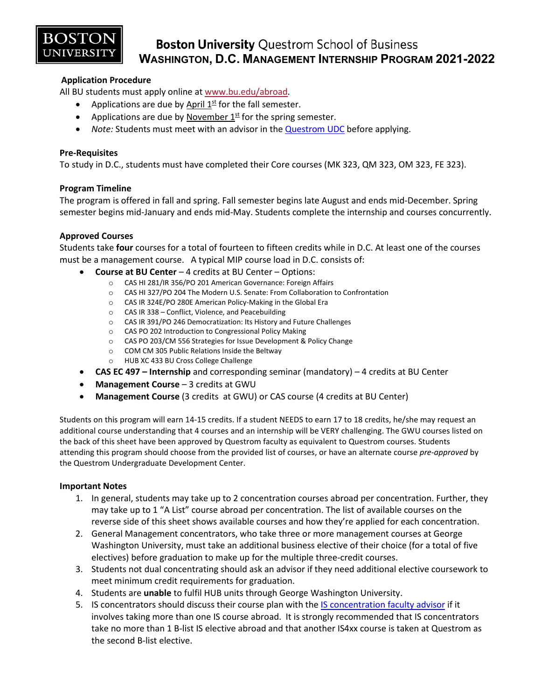

### **Boston University Questrom School of Business WASHINGTON, D.C. MANAGEMENT INTERNSHIP PROGRAM 2021-2022**

### **Application Procedure**

All BU students must apply online at [www.bu.edu/abroad.](http://www.bu.edu/abroad)

- Applications are due by April  $1<sup>st</sup>$  for the fall semester.
- Applications are due by November  $1^{st}$  for the spring semester.
- *Note:* Students must meet with an advisor in th[e Questrom UDC](http://questromworld.bu.edu/studyabroad/advising/) before applying.

#### **Pre-Requisites**

To study in D.C., students must have completed their Core courses (MK 323, QM 323, OM 323, FE 323).

#### **Program Timeline**

The program is offered in fall and spring. Fall semester begins late August and ends mid-December. Spring semester begins mid-January and ends mid-May. Students complete the internship and courses concurrently.

### **Approved Courses**

Students take **four** courses for a total of fourteen to fifteen credits while in D.C. At least one of the courses must be a management course. A typical MIP course load in D.C. consists of:

- **Course at BU Center** 4 credits at BU Center Options:
	- o CAS HI 281/IR 356/PO 201 American Governance: Foreign Affairs
	- o CAS HI 327/PO 204 The Modern U.S. Senate: From Collaboration to Confrontation
	- o CAS IR 324E/PO 280E American Policy-Making in the Global Era
	- o CAS IR 338 Conflict, Violence, and Peacebuilding
	- o CAS IR 391/PO 246 Democratization: Its History and Future Challenges
	- o CAS PO 202 Introduction to Congressional Policy Making
	- o CAS PO 203/CM 556 Strategies for Issue Development & Policy Change
	- o COM CM 305 Public Relations Inside the Beltway
	- o HUB XC 433 BU Cross College Challenge
- **CAS EC 497 – Internship** and corresponding seminar (mandatory) 4 credits at BU Center
- **Management Course** 3 credits at GWU
- **Management Course** (3 credits at GWU) or CAS course (4 credits at BU Center)

Students on this program will earn 14-15 credits. If a student NEEDS to earn 17 to 18 credits, he/she may request an additional course understanding that 4 courses and an internship will be VERY challenging. The GWU courses listed on the back of this sheet have been approved by Questrom faculty as equivalent to Questrom courses. Students attending this program should choose from the provided list of courses, or have an alternate course *pre-approved* by the Questrom Undergraduate Development Center.

#### **Important Notes**

- 1. In general, students may take up to 2 concentration courses abroad per concentration. Further, they may take up to 1 "A List" course abroad per concentration. The list of available courses on the reverse side of this sheet shows available courses and how they're applied for each concentration.
- 2. General Management concentrators, who take three or more management courses at George Washington University, must take an additional business elective of their choice (for a total of five electives) before graduation to make up for the multiple three-credit courses.
- 3. Students not dual concentrating should ask an advisor if they need additional elective coursework to meet minimum credit requirements for graduation.
- 4. Students are **unable** to fulfil HUB units through George Washington University.
- 5. IS concentrators should discuss their course plan with the [IS concentration faculty advisor](http://questromworld.bu.edu/udc/academics/concentrations/#tab-id-5) if it involves taking more than one IS course abroad. It is strongly recommended that IS concentrators take no more than 1 B-list IS elective abroad and that another IS4xx course is taken at Questrom as the second B-list elective.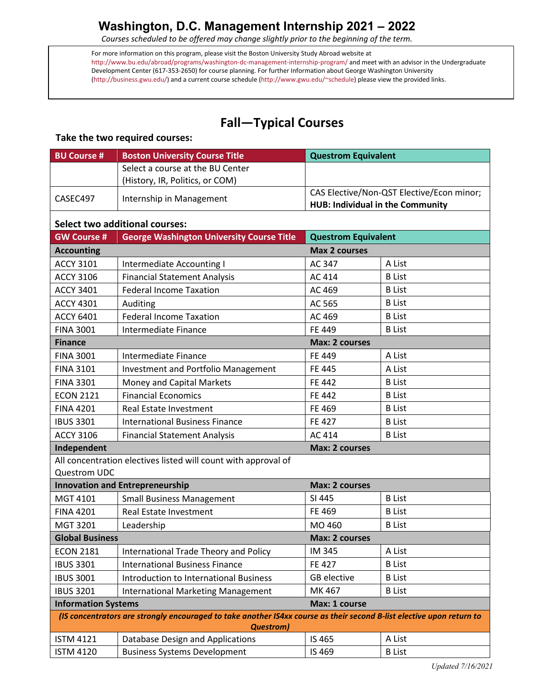*Courses scheduled to be offered may change slightly prior to the beginning of the term.*

For more information on this program, please visit the Boston University Study Abroad website at <http://www.bu.edu/abroad/programs/washington-dc-management-internship-program/> and meet with an advisor in the Undergraduate Development Center (617-353-2650) for course planning. For further Information about George Washington University [\(http://business.gwu.edu/\)](http://business.gwu.edu/) and a current course schedule [\(http://www.gwu.edu/~schedule\)](http://www.gwu.edu/%7Eschedule) please view the provided links.

# **Fall—Typical Courses**

### **Take the two required courses:**

| <b>BU Course #</b>                                                                                                                        | <b>Boston University Course Title</b>                          | <b>Questrom Equivalent</b>                                                    |               |
|-------------------------------------------------------------------------------------------------------------------------------------------|----------------------------------------------------------------|-------------------------------------------------------------------------------|---------------|
|                                                                                                                                           | Select a course at the BU Center                               |                                                                               |               |
|                                                                                                                                           | (History, IR, Politics, or COM)                                |                                                                               |               |
| CASEC497                                                                                                                                  | Internship in Management                                       | CAS Elective/Non-QST Elective/Econ minor;<br>HUB: Individual in the Community |               |
|                                                                                                                                           | <b>Select two additional courses:</b>                          |                                                                               |               |
| <b>GW Course #</b>                                                                                                                        | <b>George Washington University Course Title</b>               | <b>Questrom Equivalent</b>                                                    |               |
| <b>Max 2 courses</b><br><b>Accounting</b>                                                                                                 |                                                                |                                                                               |               |
| <b>ACCY 3101</b>                                                                                                                          | Intermediate Accounting I                                      | AC 347                                                                        | A List        |
| <b>ACCY 3106</b>                                                                                                                          | <b>Financial Statement Analysis</b>                            | AC 414                                                                        | <b>B</b> List |
| <b>ACCY 3401</b>                                                                                                                          | <b>Federal Income Taxation</b>                                 | AC 469                                                                        | <b>B</b> List |
| <b>ACCY 4301</b>                                                                                                                          | Auditing                                                       | AC 565                                                                        | <b>B</b> List |
| <b>ACCY 6401</b>                                                                                                                          | <b>Federal Income Taxation</b>                                 | AC 469                                                                        | <b>B</b> List |
| <b>FINA 3001</b>                                                                                                                          | Intermediate Finance                                           | FE 449                                                                        | <b>B</b> List |
| <b>Finance</b>                                                                                                                            | <b>Max: 2 courses</b>                                          |                                                                               |               |
| <b>FINA 3001</b>                                                                                                                          | Intermediate Finance                                           | FE 449                                                                        | A List        |
| <b>FINA 3101</b>                                                                                                                          | <b>Investment and Portfolio Management</b>                     | <b>FE 445</b>                                                                 | A List        |
| <b>FINA 3301</b>                                                                                                                          | Money and Capital Markets                                      | FE 442                                                                        | <b>B</b> List |
| <b>ECON 2121</b>                                                                                                                          | <b>Financial Economics</b>                                     | FE 442                                                                        | <b>B</b> List |
| <b>FINA 4201</b>                                                                                                                          | Real Estate Investment                                         | FE 469                                                                        | <b>B</b> List |
| <b>IBUS 3301</b>                                                                                                                          | <b>International Business Finance</b>                          | <b>FE 427</b>                                                                 | <b>B</b> List |
| <b>ACCY 3106</b>                                                                                                                          | <b>Financial Statement Analysis</b>                            | AC 414                                                                        | <b>B</b> List |
| Independent<br><b>Max: 2 courses</b>                                                                                                      |                                                                |                                                                               |               |
| Questrom UDC                                                                                                                              | All concentration electives listed will count with approval of |                                                                               |               |
| <b>Innovation and Entrepreneurship</b><br><b>Max: 2 courses</b>                                                                           |                                                                |                                                                               |               |
| MGT 4101                                                                                                                                  | <b>Small Business Management</b>                               | SI 445                                                                        | <b>B</b> List |
| <b>FINA 4201</b>                                                                                                                          | Real Estate Investment                                         | FE 469                                                                        | <b>B</b> List |
| MGT 3201                                                                                                                                  | Leadership                                                     | MO 460                                                                        | <b>B</b> List |
| <b>Global Business</b>                                                                                                                    |                                                                | Max: 2 courses                                                                |               |
| <b>ECON 2181</b>                                                                                                                          | International Trade Theory and Policy                          | IM 345                                                                        | A List        |
| <b>IBUS 3301</b>                                                                                                                          | <b>International Business Finance</b>                          | FE 427                                                                        | <b>B</b> List |
| <b>IBUS 3001</b>                                                                                                                          | <b>Introduction to International Business</b>                  | GB elective                                                                   | <b>B</b> List |
| <b>IBUS 3201</b>                                                                                                                          | <b>International Marketing Management</b>                      | MK 467                                                                        | <b>B</b> List |
| <b>Information Systems</b><br>Max: 1 course                                                                                               |                                                                |                                                                               |               |
| (IS concentrators are strongly encouraged to take another IS4xx course as their second B-list elective upon return to<br><b>Questrom)</b> |                                                                |                                                                               |               |
| <b>ISTM 4121</b>                                                                                                                          | Database Design and Applications                               | IS 465                                                                        | A List        |
| <b>ISTM 4120</b>                                                                                                                          | <b>Business Systems Development</b>                            | IS 469                                                                        | <b>B</b> List |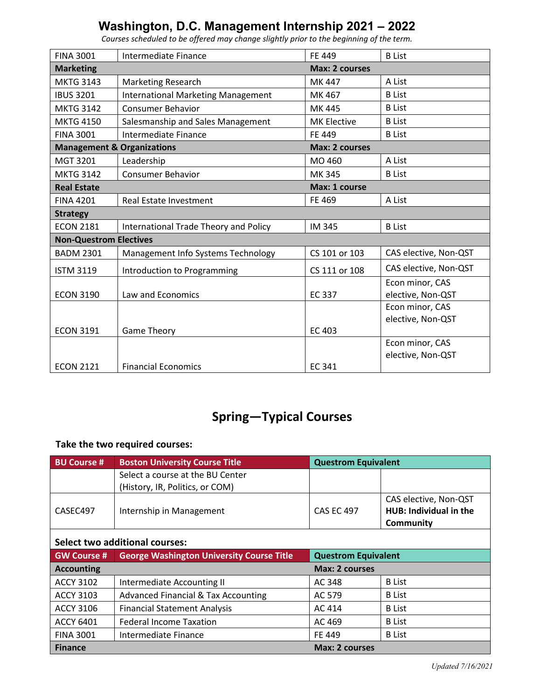| <b>FINA 3001</b>                                               | Intermediate Finance                      | FE 449             | <b>B</b> List         |
|----------------------------------------------------------------|-------------------------------------------|--------------------|-----------------------|
| <b>Marketing</b><br><b>Max: 2 courses</b>                      |                                           |                    |                       |
| <b>MKTG 3143</b>                                               | <b>Marketing Research</b>                 | MK 447             | A List                |
| <b>IBUS 3201</b>                                               | <b>International Marketing Management</b> | MK 467             | <b>B</b> List         |
| <b>MKTG 3142</b>                                               | <b>Consumer Behavior</b>                  | MK 445             | <b>B</b> List         |
| <b>MKTG 4150</b>                                               | Salesmanship and Sales Management         | <b>MK Elective</b> | <b>B</b> List         |
| <b>FINA 3001</b>                                               | Intermediate Finance                      | FE 449             | <b>B</b> List         |
| <b>Management &amp; Organizations</b><br><b>Max: 2 courses</b> |                                           |                    |                       |
| MGT 3201                                                       | Leadership                                | MO 460             | A List                |
| <b>MKTG 3142</b>                                               | <b>Consumer Behavior</b>                  | MK 345             | <b>B</b> List         |
| <b>Real Estate</b>                                             |                                           | Max: 1 course      |                       |
| <b>FINA 4201</b>                                               | Real Estate Investment                    | FE 469             | A List                |
| <b>Strategy</b>                                                |                                           |                    |                       |
| <b>ECON 2181</b>                                               | International Trade Theory and Policy     | IM 345             | <b>B</b> List         |
| <b>Non-Questrom Electives</b>                                  |                                           |                    |                       |
| <b>BADM 2301</b>                                               | Management Info Systems Technology        | CS 101 or 103      | CAS elective, Non-QST |
| <b>ISTM 3119</b>                                               | Introduction to Programming               | CS 111 or 108      | CAS elective, Non-QST |
|                                                                |                                           |                    | Econ minor, CAS       |
| <b>ECON 3190</b>                                               | Law and Economics                         | <b>EC 337</b>      | elective, Non-QST     |
|                                                                |                                           |                    | Econ minor, CAS       |
|                                                                |                                           |                    | elective, Non-QST     |
| <b>ECON 3191</b>                                               | <b>Game Theory</b>                        | <b>EC 403</b>      |                       |
|                                                                |                                           |                    | Econ minor, CAS       |
|                                                                |                                           |                    | elective, Non-QST     |
| <b>ECON 2121</b>                                               | <b>Financial Economics</b>                | <b>EC 341</b>      |                       |

*Courses scheduled to be offered may change slightly prior to the beginning of the term.*

# **Spring—Typical Courses**

### **Take the two required courses:**

| <b>BU Course #</b>                    | <b>Boston University Course Title</b>            | <b>Questrom Equivalent</b> |                               |
|---------------------------------------|--------------------------------------------------|----------------------------|-------------------------------|
|                                       | Select a course at the BU Center                 |                            |                               |
|                                       | (History, IR, Politics, or COM)                  |                            |                               |
|                                       |                                                  |                            | CAS elective, Non-QST         |
| CASEC497                              | Internship in Management                         | <b>CAS EC 497</b>          | <b>HUB: Individual in the</b> |
|                                       |                                                  |                            | <b>Community</b>              |
| <b>Select two additional courses:</b> |                                                  |                            |                               |
| <b>GW Course #</b>                    | <b>George Washington University Course Title</b> | <b>Questrom Equivalent</b> |                               |
| <b>Accounting</b>                     |                                                  | Max: 2 courses             |                               |
| <b>ACCY 3102</b>                      | Intermediate Accounting II                       | AC 348                     | <b>B</b> List                 |
| <b>ACCY 3103</b>                      | <b>Advanced Financial &amp; Tax Accounting</b>   | AC 579                     | <b>B</b> List                 |
| <b>ACCY 3106</b>                      | <b>Financial Statement Analysis</b>              | AC 414                     | <b>B</b> List                 |
| <b>ACCY 6401</b>                      | <b>Federal Income Taxation</b>                   | AC 469                     | <b>B</b> List                 |
| <b>FINA 3001</b>                      | Intermediate Finance                             | <b>FE 449</b>              | <b>B</b> List                 |
| <b>Finance</b>                        |                                                  | <b>Max: 2 courses</b>      |                               |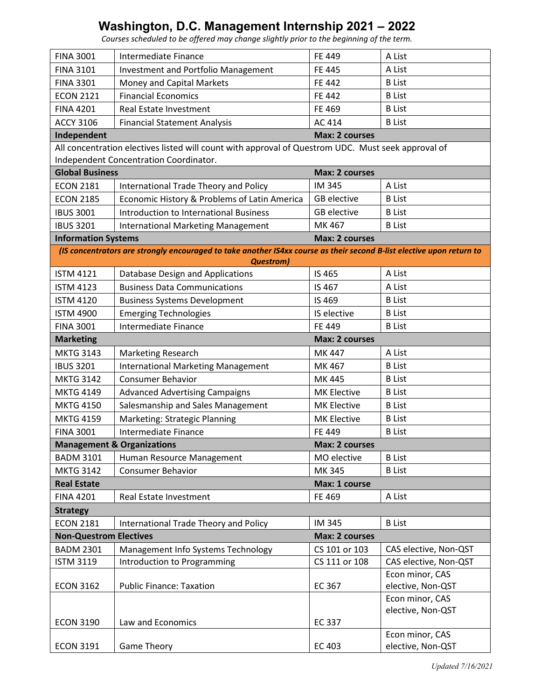*Courses scheduled to be offered may change slightly prior to the beginning of the term.*

| <b>FINA 3001</b>              | Intermediate Finance                                                                                                  | FE 449                | A List                               |
|-------------------------------|-----------------------------------------------------------------------------------------------------------------------|-----------------------|--------------------------------------|
| <b>FINA 3101</b>              | <b>Investment and Portfolio Management</b>                                                                            | <b>FE 445</b>         | A List                               |
| <b>FINA 3301</b>              | Money and Capital Markets                                                                                             | FE 442                | <b>B</b> List                        |
| <b>ECON 2121</b>              | <b>Financial Economics</b>                                                                                            | FE 442                | <b>B</b> List                        |
| <b>FINA 4201</b>              | <b>Real Estate Investment</b>                                                                                         | FE 469                | <b>B</b> List                        |
| <b>ACCY 3106</b>              | <b>Financial Statement Analysis</b>                                                                                   | AC 414                | <b>B</b> List                        |
| Independent                   |                                                                                                                       | <b>Max: 2 courses</b> |                                      |
|                               | All concentration electives listed will count with approval of Questrom UDC. Must seek approval of                    |                       |                                      |
|                               | Independent Concentration Coordinator.                                                                                |                       |                                      |
| <b>Global Business</b>        |                                                                                                                       | <b>Max: 2 courses</b> |                                      |
| <b>ECON 2181</b>              | International Trade Theory and Policy                                                                                 | IM 345                | A List                               |
| <b>ECON 2185</b>              | Economic History & Problems of Latin America                                                                          | <b>GB</b> elective    | <b>B</b> List                        |
| <b>IBUS 3001</b>              | Introduction to International Business                                                                                | <b>GB</b> elective    | <b>B</b> List                        |
| <b>IBUS 3201</b>              | <b>International Marketing Management</b>                                                                             | MK 467                | <b>B</b> List                        |
| <b>Information Systems</b>    |                                                                                                                       | <b>Max: 2 courses</b> |                                      |
|                               | (IS concentrators are strongly encouraged to take another IS4xx course as their second B-list elective upon return to |                       |                                      |
|                               | <b>Questrom</b> )                                                                                                     |                       |                                      |
| <b>ISTM 4121</b>              | Database Design and Applications                                                                                      | IS 465                | A List                               |
| <b>ISTM 4123</b>              | <b>Business Data Communications</b>                                                                                   | IS 467                | A List                               |
| <b>ISTM 4120</b>              | <b>Business Systems Development</b>                                                                                   | IS 469                | <b>B</b> List                        |
| <b>ISTM 4900</b>              | <b>Emerging Technologies</b>                                                                                          | IS elective           | <b>B</b> List                        |
| <b>FINA 3001</b>              | Intermediate Finance                                                                                                  | FE 449                | <b>B</b> List                        |
| <b>Marketing</b>              |                                                                                                                       | <b>Max: 2 courses</b> |                                      |
| <b>MKTG 3143</b>              | <b>Marketing Research</b>                                                                                             | MK 447                | A List                               |
| <b>IBUS 3201</b>              | <b>International Marketing Management</b>                                                                             | MK 467                | <b>B</b> List                        |
| <b>MKTG 3142</b>              | <b>Consumer Behavior</b>                                                                                              | MK 445                | <b>B</b> List                        |
| <b>MKTG 4149</b>              | <b>Advanced Advertising Campaigns</b>                                                                                 | <b>MK Elective</b>    | <b>B</b> List                        |
| <b>MKTG 4150</b>              | Salesmanship and Sales Management                                                                                     | <b>MK Elective</b>    | <b>B</b> List                        |
| <b>MKTG 4159</b>              | Marketing: Strategic Planning                                                                                         | <b>MK Elective</b>    | <b>B</b> List                        |
| <b>FINA 3001</b>              | Intermediate Finance                                                                                                  | FE 449                | <b>B</b> List                        |
|                               | <b>Management &amp; Organizations</b>                                                                                 | Max: 2 courses        |                                      |
| <b>BADM 3101</b>              | Human Resource Management                                                                                             | MO elective           | <b>B</b> List                        |
| <b>MKTG 3142</b>              | <b>Consumer Behavior</b>                                                                                              | MK 345                | <b>B</b> List                        |
| <b>Real Estate</b>            |                                                                                                                       | Max: 1 course         |                                      |
| <b>FINA 4201</b>              | Real Estate Investment                                                                                                | FE 469                | A List                               |
| <b>Strategy</b>               |                                                                                                                       |                       |                                      |
| <b>ECON 2181</b>              | International Trade Theory and Policy                                                                                 | IM 345                | <b>B</b> List                        |
| <b>Non-Questrom Electives</b> |                                                                                                                       | <b>Max: 2 courses</b> |                                      |
| <b>BADM 2301</b>              | Management Info Systems Technology                                                                                    | CS 101 or 103         | CAS elective, Non-QST                |
| <b>ISTM 3119</b>              | Introduction to Programming                                                                                           | CS 111 or 108         | CAS elective, Non-QST                |
|                               |                                                                                                                       |                       | Econ minor, CAS                      |
| <b>ECON 3162</b>              | <b>Public Finance: Taxation</b>                                                                                       | EC 367                | elective, Non-QST<br>Econ minor, CAS |
|                               |                                                                                                                       |                       | elective, Non-QST                    |
| <b>ECON 3190</b>              | Law and Economics                                                                                                     | <b>EC 337</b>         |                                      |
|                               |                                                                                                                       |                       | Econ minor, CAS                      |
| <b>ECON 3191</b>              | <b>Game Theory</b>                                                                                                    | EC 403                | elective, Non-QST                    |